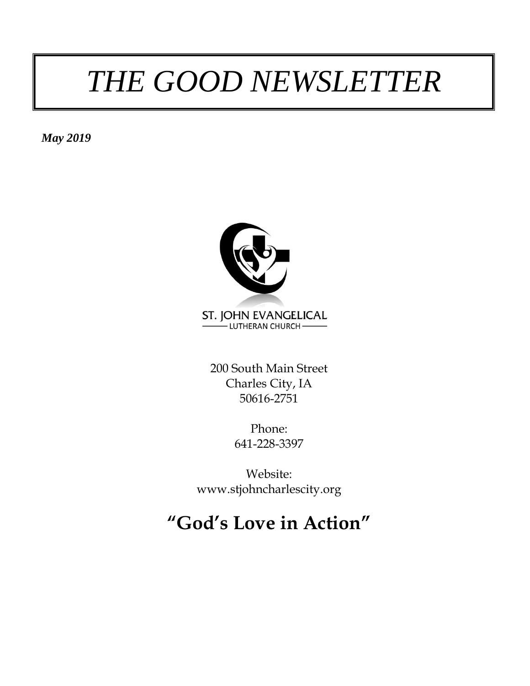# *THE GOOD NEWSLETTER*

*May 2019*



200 South Main Street Charles City, IA 50616-2751

> Phone: 641-228-3397

Website: www.stjohncharlescity.org

### **"God's Love in Action"**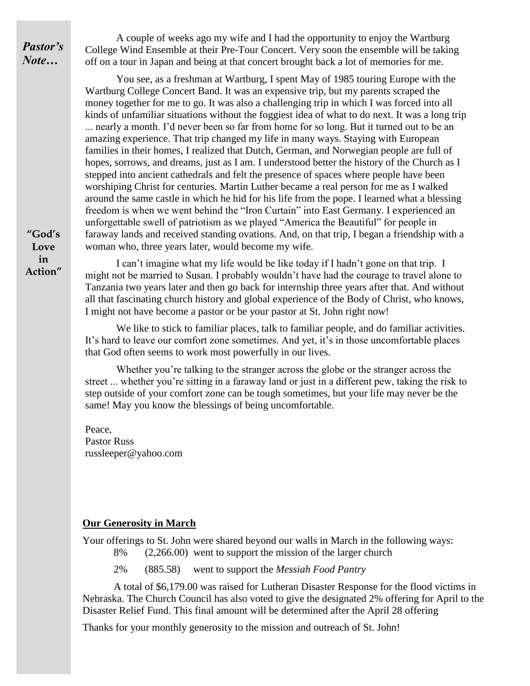*Pastor's Note…*

A couple of weeks ago my wife and I had the opportunity to enjoy the Wartburg College Wind Ensemble at their Pre-Tour Concert. Very soon the ensemble will be taking off on a tour in Japan and being at that concert brought back a lot of memories for me.

You see, as a freshman at Wartburg, I spent May of 1985 touring Europe with the Wartburg College Concert Band. It was an expensive trip, but my parents scraped the money together for me to go. It was also a challenging trip in which I was forced into all kinds of unfamiliar situations without the foggiest idea of what to do next. It was a long trip ... nearly a month. I'd never been so far from home for so long. But it turned out to be an amazing experience. That trip changed my life in many ways. Staying with European families in their homes, I realized that Dutch, German, and Norwegian people are full of hopes, sorrows, and dreams, just as I am. I understood better the history of the Church as I stepped into ancient cathedrals and felt the presence of spaces where people have been worshiping Christ for centuries. Martin Luther became a real person for me as I walked around the same castle in which he hid for his life from the pope. I learned what a blessing freedom is when we went behind the "Iron Curtain" into East Germany. I experienced an unforgettable swell of patriotism as we played "America the Beautiful" for people in faraway lands and received standing ovations. And, on that trip, I began a friendship with a woman who, three years later, would become my wife.

I can't imagine what my life would be like today if I hadn't gone on that trip. I might not be married to Susan. I probably wouldn't have had the courage to travel alone to Tanzania two years later and then go back for internship three years after that. And without all that fascinating church history and global experience of the Body of Christ, who knows, I might not have become a pastor or be your pastor at St. John right now!

We like to stick to familiar places, talk to familiar people, and do familiar activities. It's hard to leave our comfort zone sometimes. And yet, it's in those uncomfortable places that God often seems to work most powerfully in our lives.

Whether you're talking to the stranger across the globe or the stranger across the street ... whether you're sitting in a faraway land or just in a different pew, taking the risk to step outside of your comfort zone can be tough sometimes, but your life may never be the same! May you know the blessings of being uncomfortable.

Peace, Pastor Russ russleeper@yahoo.com

#### **Our Generosity in March**

Your offerings to St. John were shared beyond our walls in March in the following ways: 8% (2,266.00) went to support the mission of the larger church

2% (885.58) went to support the *Messiah Food Pantry*

A total of \$6,179.00 was raised for Lutheran Disaster Response for the flood victims in Nebraska. The Church Council has also voted to give the designated 2% offering for April to the Disaster Relief Fund. This final amount will be determined after the April 28 offering

Thanks for your monthly generosity to the mission and outreach of St. John!

**"God's Love in Action"**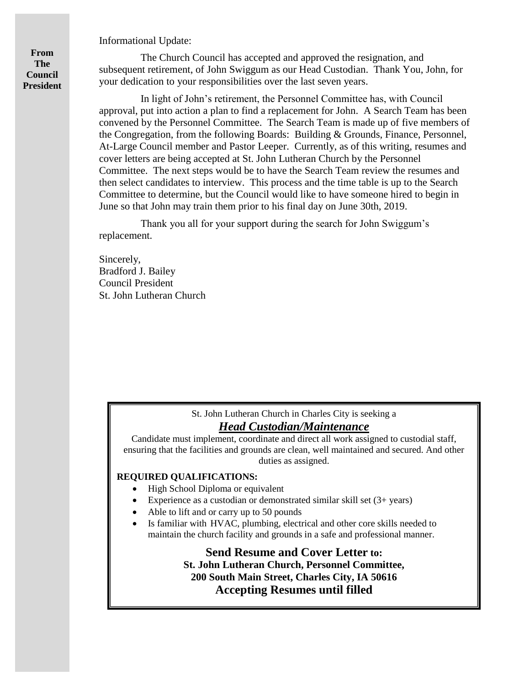Informational Update:

**From The Council President**

The Church Council has accepted and approved the resignation, and subsequent retirement, of John Swiggum as our Head Custodian. Thank You, John, for your dedication to your responsibilities over the last seven years.

In light of John's retirement, the Personnel Committee has, with Council approval, put into action a plan to find a replacement for John. A Search Team has been convened by the Personnel Committee. The Search Team is made up of five members of the Congregation, from the following Boards: Building & Grounds, Finance, Personnel, At-Large Council member and Pastor Leeper. Currently, as of this writing, resumes and cover letters are being accepted at St. John Lutheran Church by the Personnel Committee. The next steps would be to have the Search Team review the resumes and then select candidates to interview. This process and the time table is up to the Search Committee to determine, but the Council would like to have someone hired to begin in June so that John may train them prior to his final day on June 30th, 2019.

Thank you all for your support during the search for John Swiggum's replacement.

Sincerely, Bradford J. Bailey Council President St. John Lutheran Church

#### St. John Lutheran Church in Charles City is seeking a *Head Custodian/Maintenance*

Candidate must implement, coordinate and direct all work assigned to custodial staff, ensuring that the facilities and grounds are clean, well maintained and secured. And other duties as assigned.

#### **REQUIRED QUALIFICATIONS:**

- High School Diploma or equivalent
- Experience as a custodian or demonstrated similar skill set  $(3 + \text{years})$
- Able to lift and or carry up to 50 pounds
- Is familiar with HVAC, plumbing, electrical and other core skills needed to maintain the church facility and grounds in a safe and professional manner.

**Send Resume and Cover Letter to: St. John Lutheran Church, Personnel Committee, 200 South Main Street, Charles City, IA 50616 Accepting Resumes until filled**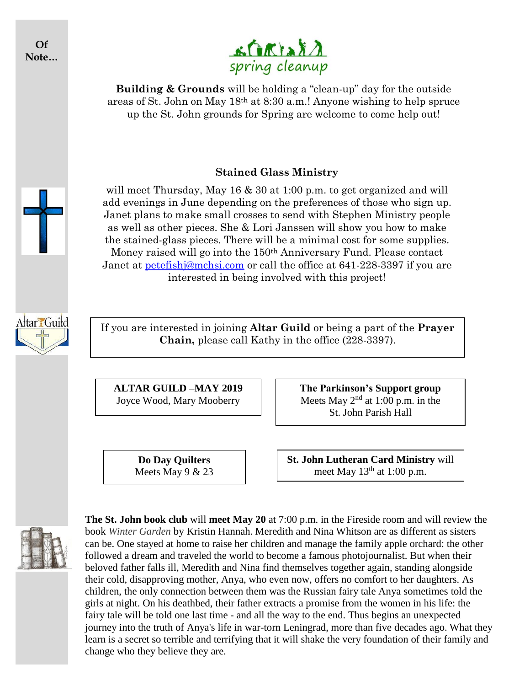**Of Note…**



**Building & Grounds** will be holding a "clean-up" day for the outside areas of St. John on May 18th at 8:30 a.m.! Anyone wishing to help spruce up the St. John grounds for Spring are welcome to come help out!

#### **Stained Glass Ministry**

will meet Thursday, May 16 & 30 at 1:00 p.m. to get organized and will add evenings in June depending on the preferences of those who sign up. Janet plans to make small crosses to send with Stephen Ministry people as well as other pieces. She & Lori Janssen will show you how to make the stained-glass pieces. There will be a minimal cost for some supplies. Money raised will go into the 150th Anniversary Fund. Please contact Janet at [petefishj@mchsi.com](mailto:petefishj@mchsi.com) or call the office at 641-228-3397 if you are interested in being involved with this project!

Attar Guild

If you are interested in joining **Altar Guild** or being a part of the **Prayer Chain,** please call Kathy in the office (228-3397).

**ALTAR GUILD –MAY 2019** Joyce Wood, Mary Mooberry

> **Do Day Quilters** Meets May 9 & 23

**The Parkinson's Support group** Meets May  $2<sup>nd</sup>$  at 1:00 p.m. in the St. John Parish Hall

**St. John Lutheran Card Ministry** will meet May  $13<sup>th</sup>$  at 1:00 p.m.



**The St. John book club** will **meet May 20** at 7:00 p.m. in the Fireside room and will review the book *Winter Garden* by Kristin Hannah. Meredith and Nina Whitson are as different as sisters can be. One stayed at home to raise her children and manage the family apple orchard: the other followed a dream and traveled the world to become a famous photojournalist. But when their beloved father falls ill, Meredith and Nina find themselves together again, standing alongside their cold, disapproving mother, Anya, who even now, offers no comfort to her daughters. As children, the only connection between them was the Russian fairy tale Anya sometimes told the girls at night. On his deathbed, their father extracts a promise from the women in his life: the fairy tale will be told one last time - and all the way to the end. Thus begins an unexpected journey into the truth of Anya's life in war-torn Leningrad, more than five decades ago. What they learn is a secret so terrible and terrifying that it will shake the very foundation of their family and change who they believe they are.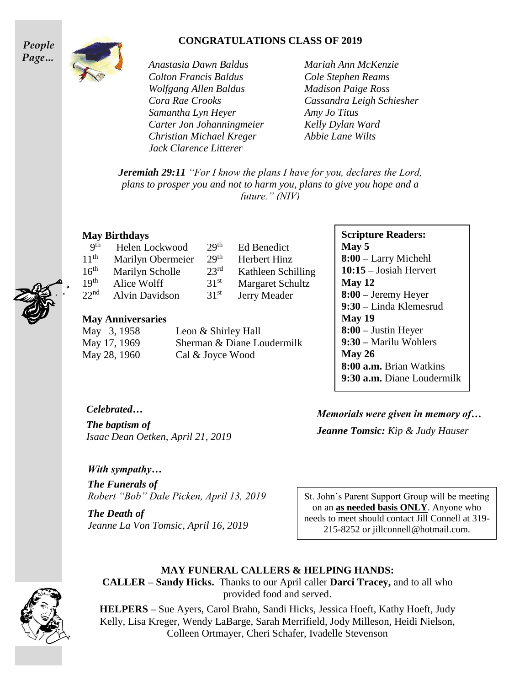#### **CONGRATULATIONS CLASS OF 2019**





*Anastasia Dawn Baldus Mariah Ann McKenzie Colton Francis Baldus Cole Stephen Reams Wolfgang Allen Baldus Madison Paige Ross Samantha Lyn Heyer Amy Jo Titus Carter Jon Johanningmeier Kelly Dylan Ward Christian Michael Kreger Abbie Lane Wilts Jack Clarence Litterer*

 $29<sup>th</sup>$ 

*Cora Rae Crooks Cassandra Leigh Schiesher*

*Jeremiah 29:11 "For I know the plans I have for you, declares the Lord, plans to prosper you and not to harm you, plans to give you hope and a future." (NIV)*

Ed Benedict

 $31<sup>st</sup>$  Margaret Schultz  $31<sup>st</sup>$  Jerry Meader

 $29<sup>th</sup>$  Herbert Hinz  $23<sup>rd</sup>$  Kathleen Schilling

#### **May Birthdays**

| Q <sup>th</sup>  | Helen Lockwood    | 29 |
|------------------|-------------------|----|
| 11 <sup>th</sup> | Marilyn Obermeier | 29 |
| 16 <sup>th</sup> | Marilyn Scholle   | 23 |
| 19 <sup>th</sup> | Alice Wolff       | 31 |
| 22 <sup>nd</sup> | Alvin Davidson    | 31 |

#### **May Anniversaries**

| May 3, 1958  | Leon & Shirley Hall        |
|--------------|----------------------------|
| May 17, 1969 | Sherman & Diane Loudermilk |
| May 28, 1960 | Cal & Joyce Wood           |

#### **Scripture Readers: May 5 8:00 –** Larry Michehl **10:15 –** Josiah Hervert **May 12 8:00 –** Jeremy Heyer **9:30 –** Linda Klemesrud **May 19 8:00 –** Justin Heyer **9:30 –** Marilu Wohlers **May 26 8:00 a.m.** Brian Watkins **9:30 a.m.** Diane Loudermilk

*Celebrated…*

*The baptism of Isaac Dean Oetken, April 21, 2019*

#### *With sympathy…*

*The Funerals of Robert "Bob" Dale Picken, April 13, 2019*

*The Death of Jeanne La Von Tomsic, April 16, 2019* *Memorials were given in memory of… Jeanne Tomsic: Kip & Judy Hauser*

St. John's Parent Support Group will be meeting on an **as needed basis ONLY**. Anyone who needs to meet should contact Jill Connell at 319- 215-8252 or jillconnell@hotmail.com.

#### **MAY FUNERAL CALLERS & HELPING HANDS:**



**HELPERS –** Sue Ayers, Carol Brahn, Sandi Hicks, Jessica Hoeft, Kathy Hoeft, Judy Kelly, Lisa Kreger, Wendy LaBarge, Sarah Merrifield, Jody Milleson, Heidi Nielson, Colleen Ortmayer, Cheri Schafer, Ivadelle Stevenson



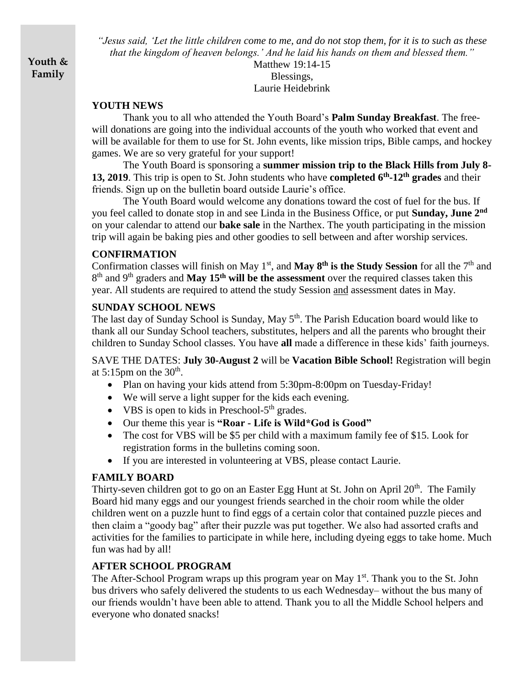**Youth & Family**

*"Jesus said, 'Let the little children come to me, and do not stop them, for it is to such as these that the kingdom of heaven belongs.' And he laid his hands on them and blessed them."*

Matthew 19:14-15 Blessings, Laurie Heidebrink

#### **YOUTH NEWS**

Thank you to all who attended the Youth Board's **Palm Sunday Breakfast**. The freewill donations are going into the individual accounts of the youth who worked that event and will be available for them to use for St. John events, like mission trips, Bible camps, and hockey games. We are so very grateful for your support!

The Youth Board is sponsoring a **summer mission trip to the Black Hills from July 8- 13, 2019**. This trip is open to St. John students who have **completed 6th -12th grades** and their friends. Sign up on the bulletin board outside Laurie's office.

The Youth Board would welcome any donations toward the cost of fuel for the bus. If you feel called to donate stop in and see Linda in the Business Office, or put **Sunday, June 2nd** on your calendar to attend our **bake sale** in the Narthex. The youth participating in the mission trip will again be baking pies and other goodies to sell between and after worship services.

#### **CONFIRMATION**

Confirmation classes will finish on May  $1<sup>st</sup>$ , and **May**  $8<sup>th</sup>$  **is the Study Session** for all the  $7<sup>th</sup>$  and 8 th and 9th graders and **May 15th will be the assessment** over the required classes taken this year. All students are required to attend the study Session and assessment dates in May.

#### **SUNDAY SCHOOL NEWS**

The last day of Sunday School is Sunday, May 5<sup>th</sup>. The Parish Education board would like to thank all our Sunday School teachers, substitutes, helpers and all the parents who brought their children to Sunday School classes. You have **all** made a difference in these kids' faith journeys.

SAVE THE DATES: **July 30-August 2** will be **Vacation Bible School!** Registration will begin at 5:15pm on the  $30<sup>th</sup>$ .

- Plan on having your kids attend from 5:30pm-8:00pm on Tuesday-Friday!
- We will serve a light supper for the kids each evening.
- VBS is open to kids in Preschool-5<sup>th</sup> grades.
- Our theme this year is **"Roar - Life is Wild\*God is Good"**
- The cost for VBS will be \$5 per child with a maximum family fee of \$15. Look for registration forms in the bulletins coming soon.
- If you are interested in volunteering at VBS, please contact Laurie.

#### **FAMILY BOARD**

Thirty-seven children got to go on an Easter Egg Hunt at St. John on April  $20<sup>th</sup>$ . The Family Board hid many eggs and our youngest friends searched in the choir room while the older children went on a puzzle hunt to find eggs of a certain color that contained puzzle pieces and then claim a "goody bag" after their puzzle was put together. We also had assorted crafts and activities for the families to participate in while here, including dyeing eggs to take home. Much fun was had by all!

#### **AFTER SCHOOL PROGRAM**

The After-School Program wraps up this program year on May 1<sup>st</sup>. Thank you to the St. John bus drivers who safely delivered the students to us each Wednesday– without the bus many of our friends wouldn't have been able to attend. Thank you to all the Middle School helpers and everyone who donated snacks!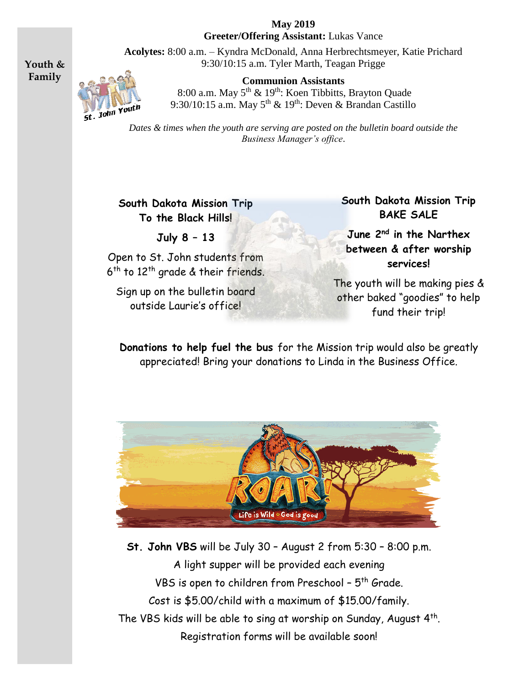**May 2019 Greeter/Offering Assistant:** Lukas Vance

**Acolytes:** 8:00 a.m. – Kyndra McDonald, Anna Herbrechtsmeyer, Katie Prichard 9:30/10:15 a.m. Tyler Marth, Teagan Prigge

> **Communion Assistants** 8:00 a.m. May 5<sup>th</sup> & 19<sup>th</sup>: Koen Tibbitts, Brayton Quade 9:30/10:15 a.m. May  $5<sup>th</sup> \& 19<sup>th</sup>$ : Deven  $\&$  Brandan Castillo

*Dates & times when the youth are serving are posted on the bulletin board outside the Business Manager's office*.

**South Dakota Mission Trip To the Black Hills!**

**July 8 – 13**

Open to St. John students from 6<sup>th</sup> to 12<sup>th</sup> grade & their friends.

Sign up on the bulletin board outside Laurie's office!

**South Dakota Mission Trip BAKE SALE**

**June 2nd in the Narthex between & after worship services!**

The youth will be making pies & other baked "goodies" to help fund their trip!

**Donations to help fuel the bus** for the Mission trip would also be greatly appreciated! Bring your donations to Linda in the Business Office.



**St. John VBS** will be July 30 – August 2 from 5:30 – 8:00 p.m. A light supper will be provided each evening VBS is open to children from Preschool - 5<sup>th</sup> Grade. Cost is \$5.00/child with a maximum of \$15.00/family. The VBS kids will be able to sing at worship on Sunday, August 4<sup>th</sup>. Registration forms will be available soon!



**Youth & Family**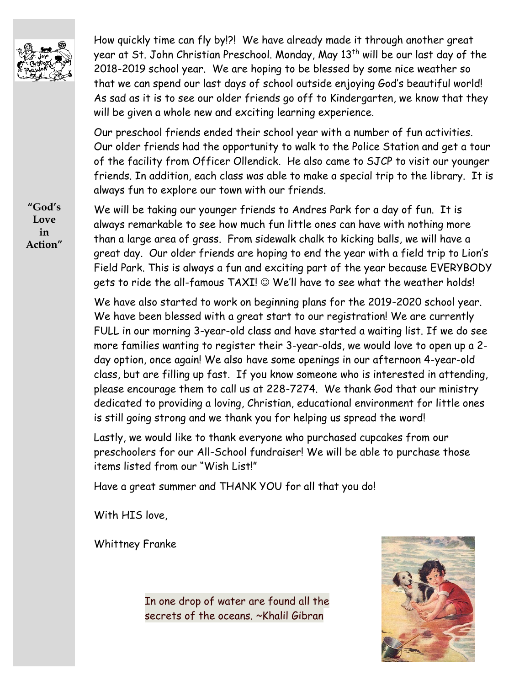

How quickly time can fly by!?! We have already made it through another great year at St. John Christian Preschool. Monday, May 13<sup>th</sup> will be our last day of the 2018-2019 school year. We are hoping to be blessed by some nice weather so that we can spend our last days of school outside enjoying God's beautiful world! As sad as it is to see our older friends go off to Kindergarten, we know that they will be given a whole new and exciting learning experience.

Our preschool friends ended their school year with a number of fun activities. Our older friends had the opportunity to walk to the Police Station and get a tour of the facility from Officer Ollendick. He also came to SJCP to visit our younger friends. In addition, each class was able to make a special trip to the library. It is always fun to explore our town with our friends.

We will be taking our younger friends to Andres Park for a day of fun. It is always remarkable to see how much fun little ones can have with nothing more than a large area of grass. From sidewalk chalk to kicking balls, we will have a great day. Our older friends are hoping to end the year with a field trip to Lion's Field Park. This is always a fun and exciting part of the year because EVERYBODY gets to ride the all-famous TAXI!  $\odot$  We'll have to see what the weather holds!

We have also started to work on beginning plans for the 2019-2020 school year. We have been blessed with a great start to our registration! We are currently FULL in our morning 3-year-old class and have started a waiting list. If we do see more families wanting to register their 3-year-olds, we would love to open up a 2 day option, once again! We also have some openings in our afternoon 4-year-old class, but are filling up fast. If you know someone who is interested in attending, please encourage them to call us at 228-7274. We thank God that our ministry dedicated to providing a loving, Christian, educational environment for little ones is still going strong and we thank you for helping us spread the word!

Lastly, we would like to thank everyone who purchased cupcakes from our preschoolers for our All-School fundraiser! We will be able to purchase those items listed from our "Wish List!"

Have a great summer and THANK YOU for all that you do!

With HIS love,

Whittney Franke

In one drop of water are found all the secrets of the oceans. ~Khalil Gibran



**"God's Love in Action"**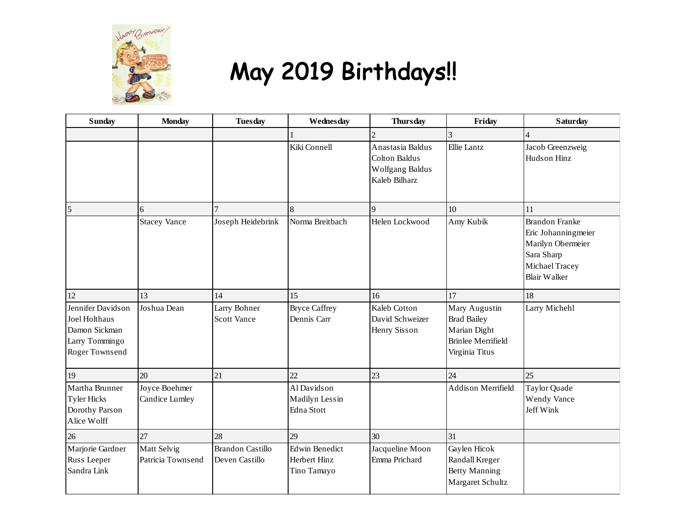

## May 2019 Birthdays!!

| <b>Sunday</b>                                                                           | <b>Monday</b>                    | <b>Tuesday</b>                            | Wednesday                                            | <b>Thursday</b>                                                              | Friday                                                                                             | <b>Saturday</b>                                                                                                          |
|-----------------------------------------------------------------------------------------|----------------------------------|-------------------------------------------|------------------------------------------------------|------------------------------------------------------------------------------|----------------------------------------------------------------------------------------------------|--------------------------------------------------------------------------------------------------------------------------|
|                                                                                         |                                  |                                           |                                                      | $\overline{2}$                                                               | 3                                                                                                  | 4                                                                                                                        |
|                                                                                         |                                  |                                           | Kiki Connell                                         | Anastasia Baldus<br><b>Colton Baldus</b><br>Wolfgang Baldus<br>Kaleb Bilharz | <b>Ellie Lantz</b>                                                                                 | Jacob Greenzweig<br>Hudson Hinz                                                                                          |
| 5                                                                                       | 6                                |                                           | 8                                                    | $\mathbf{Q}$                                                                 | 10                                                                                                 | 11                                                                                                                       |
|                                                                                         | <b>Stacey Vance</b>              | Joseph Heidebrink                         | Norma Breitbach                                      | Helen Lockwood                                                               | Amy Kubik                                                                                          | <b>Brandon Franke</b><br>Eric Johanningmeier<br>Marilyn Obermeier<br>Sara Sharp<br>Michael Tracey<br><b>Blair Walker</b> |
| 12                                                                                      | 13                               | 14                                        | 15                                                   | 16                                                                           | 17                                                                                                 | 18                                                                                                                       |
| Jennifer Davidson<br>Joel Holthaus<br>Damon Sickman<br>Larry Tommingo<br>Roger Townsend | Joshua Dean                      | Larry Bohner<br><b>Scott Vance</b>        | <b>Bryce Caffrey</b><br>Dennis Carr                  | Kaleb Cotton<br>David Schweizer<br>Henry Sisson                              | Mary Augustin<br><b>Brad Bailey</b><br>Marian Dight<br><b>Brinlee Merrifield</b><br>Virginia Titus | Larry Michehl                                                                                                            |
| 19                                                                                      | 20                               | 21                                        | 22                                                   | 23                                                                           | 24                                                                                                 | 25                                                                                                                       |
| Martha Brunner<br><b>Tyler Hicks</b><br>Dorothy Parson<br>Alice Wolff                   | Joyce Boehmer<br>Candice Lumley  |                                           | Al Davidson<br>Madilyn Lessin<br>Edna Stott          |                                                                              | <b>Addison Merrifield</b>                                                                          | Taylor Quade<br>Wendy Vance<br>Jeff Wink                                                                                 |
| 26                                                                                      | 27                               | 28                                        | 29                                                   | 30                                                                           | 31                                                                                                 |                                                                                                                          |
| Marjorie Gardner<br>Russ Leeper<br>Sandra Link                                          | Matt Selvig<br>Patricia Townsend | <b>Brandon Castillo</b><br>Deven Castillo | <b>Edwin Benedict</b><br>Herbert Hinz<br>Tino Tamayo | Jacqueline Moon<br>Emma Prichard                                             | Gaylen Hicok<br>Randall Kreger<br><b>Betty Manning</b><br>Margaret Schultz                         |                                                                                                                          |